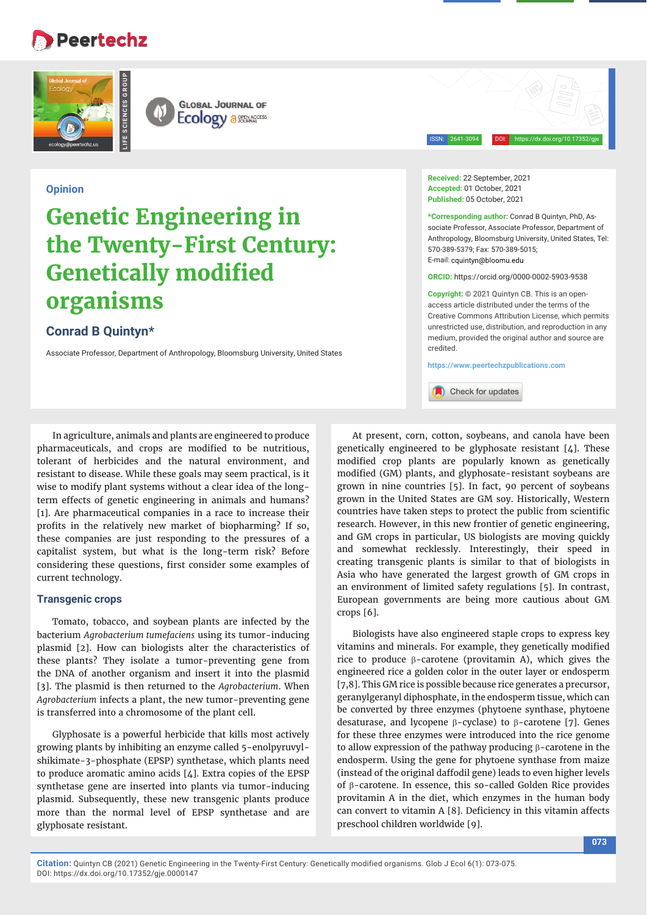## **Peertechz**





ISSN: 2641-3094 DOI: https://dx.doi.org/10.17352/gje

### **Opinion**

# **Genetic Engineering in the Twenty-First Century: Genetically modified organisms**

## **Conrad B Quintyn\***

Associate Professor, Department of Anthropology, Bloomsburg University, United States

In agriculture, animals and plants are engineered to produce pharmaceuticals, and crops are modified to be nutritious, tolerant of herbicides and the natural environment, and resistant to disease. While these goals may seem practical, is it wise to modify plant systems without a clear idea of the longterm effects of genetic engineering in animals and humans? [1]. Are pharmaceutical companies in a race to increase their profits in the relatively new market of biopharming? If so, these companies are just responding to the pressures of a capitalist system, but what is the long-term risk? Before considering these questions, first consider some examples of current technology.

#### **Transgenic crops**

Tomato, tobacco, and soybean plants are infected by the bacterium *Agrobacterium tumefaciens* using its tumor-inducing plasmid [2]. How can biologists alter the characteristics of these plants? They isolate a tumor-preventing gene from the DNA of another organism and insert it into the plasmid [3]. The plasmid is then returned to the *Agrobacterium*. When *Agrobacterium* infects a plant, the new tumor-preventing gene is transferred into a chromosome of the plant cell.

Glyphosate is a powerful herbicide that kills most actively growing plants by inhibiting an enzyme called 5-enolpyruvylshikimate-3-phosphate (EPSP) synthetase, which plants need to produce aromatic amino acids [4]. Extra copies of the EPSP synthetase gene are inserted into plants via tumor-inducing plasmid. Subsequently, these new transgenic plants produce more than the normal level of EPSP synthetase and are glyphosate resistant.

**Received:** 22 September, 2021 **Accepted:** 01 October, 2021 **Published:** 05 October, 2021

**\*Corresponding author:** Conrad B Quintyn, PhD, Associate Professor, Associate Professor, Department of Anthropology, Bloomsburg University, United States, Tel: 570-389-5379; Fax: 570-389-5015; E-mail: cquintyn@bloomu edu

**ORCID:** https://orcid.org/0000-0002-5903-9538

**Copyright:** © 2021 Quintyn CB. This is an openaccess article distributed under the terms of the Creative Commons Attribution License, which permits unrestricted use, distribution, and reproduction in any medium, provided the original author and source are credited.

**https://www.peertechzpublications.com**

Check for updates

At present, corn, cotton, soybeans, and canola have been genetically engineered to be glyphosate resistant  $[4]$ . These modified crop plants are popularly known as genetically modified (GM) plants, and glyphosate-resistant soybeans are grown in nine countries [5]. In fact, 90 percent of soybeans grown in the United States are GM soy. Historically, Western countries have taken steps to protect the public from scientific research. However, in this new frontier of genetic engineering, and GM crops in particular, US biologists are moving quickly and somewhat recklessly. Interestingly, their speed in creating transgenic plants is similar to that of biologists in Asia who have generated the largest growth of GM crops in an environment of limited safety regulations [5]. In contrast, European governments are being more cautious about GM crops [6].

Biologists have also engineered staple crops to express key vitamins and minerals. For example, they genetically modified rice to produce  $\beta$ -carotene (provitamin A), which gives the engineered rice a golden color in the outer layer or endosperm [7,8]. This GM rice is possible because rice generates a precursor, geranylgeranyl diphosphate, in the endosperm tissue, which can be converted by three enzymes (phytoene synthase, phytoene desaturase, and lycopene  $\beta$ -cyclase) to  $\beta$ -carotene [7]. Genes for these three enzymes were introduced into the rice genome to allow expression of the pathway producing  $\beta$ -carotene in the endosperm. Using the gene for phytoene synthase from maize (instead of the original daffodil gene) leads to even higher levels of  $\beta$ -carotene. In essence, this so-called Golden Rice provides provitamin A in the diet, which enzymes in the human body can convert to vitamin A [8]. Deficiency in this vitamin affects preschool children worldwide [9].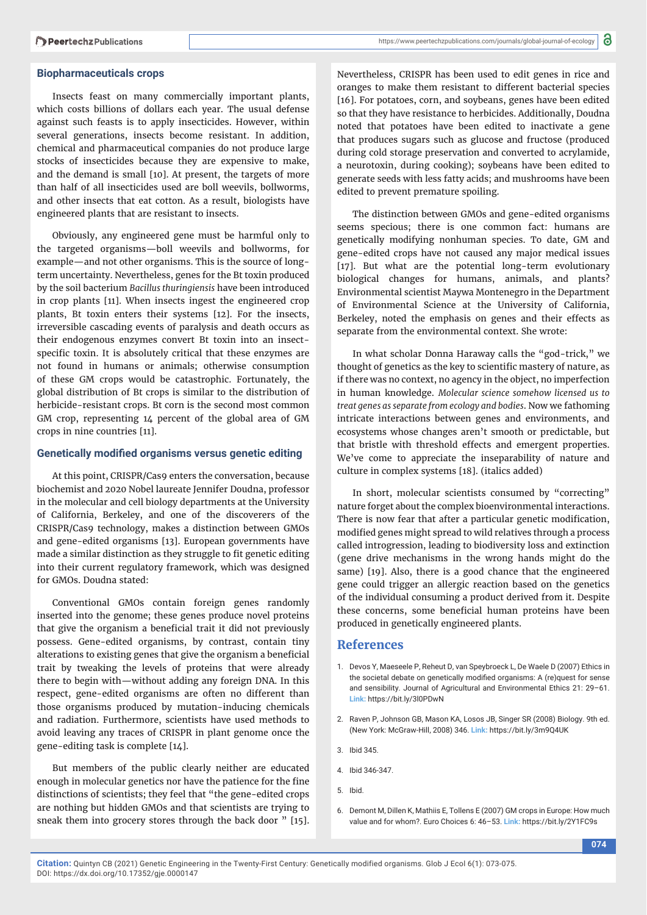#### **Biopharmaceuticals crops**

Insects feast on many commercially important plants, which costs billions of dollars each year. The usual defense against such feasts is to apply insecticides. However, within several generations, insects become resistant. In addition, chemical and pharmaceutical companies do not produce large stocks of insecticides because they are expensive to make, and the demand is small [10]. At present, the targets of more than half of all insecticides used are boll weevils, bollworms, and other insects that eat cotton. As a result, biologists have engineered plants that are resistant to insects.

Obviously, any engineered gene must be harmful only to the targeted organisms—boll weevils and bollworms, for example—and not other organisms. This is the source of longterm uncertainty. Nevertheless, genes for the Bt toxin produced by the soil bacterium *Bacillus thuringiensis* have been introduced in crop plants [11]. When insects ingest the engineered crop plants, Bt toxin enters their systems [12]. For the insects, irreversible cascading events of paralysis and death occurs as their endogenous enzymes convert Bt toxin into an insectspecific toxin. It is absolutely critical that these enzymes are not found in humans or animals; otherwise consumption of these GM crops would be catastrophic. Fortunately, the global distribution of Bt crops is similar to the distribution of herbicide-resistant crops. Bt corn is the second most common GM crop, representing 14 percent of the global area of GM crops in nine countries [11].

#### **Genetically modified organisms versus genetic editing**

At this point, CRISPR/Cas9 enters the conversation, because biochemist and 2020 Nobel laureate Jennifer Doudna, professor in the molecular and cell biology departments at the University of California, Berkeley, and one of the discoverers of the CRISPR/Cas9 technology, makes a distinction between GMOs and gene-edited organisms [13]. European governments have made a similar distinction as they struggle to fit genetic editing into their current regulatory framework, which was designed for GMOs. Doudna stated:

Conventional GMOs contain foreign genes randomly inserted into the genome; these genes produce novel proteins that give the organism a beneficial trait it did not previously possess. Gene-edited organisms, by contrast, contain tiny alterations to existing genes that give the organism a beneficial trait by tweaking the levels of proteins that were already there to begin with—without adding any foreign DNA. In this respect, gene-edited organisms are often no different than those organisms produced by mutation-inducing chemicals and radiation. Furthermore, scientists have used methods to avoid leaving any traces of CRISPR in plant genome once the gene-editing task is complete [14].

But members of the public clearly neither are educated enough in molecular genetics nor have the patience for the fine distinctions of scientists; they feel that "the gene-edited crops are nothing but hidden GMOs and that scientists are trying to sneak them into grocery stores through the back door " [15].

Nevertheless, CRISPR has been used to edit genes in rice and oranges to make them resistant to different bacterial species [16]. For potatoes, corn, and soybeans, genes have been edited so that they have resistance to herbicides. Additionally, Doudna noted that potatoes have been edited to inactivate a gene that produces sugars such as glucose and fructose (produced during cold storage preservation and converted to acrylamide, a neurotoxin, during cooking); soybeans have been edited to generate seeds with less fatty acids; and mushrooms have been edited to prevent premature spoiling.

The distinction between GMOs and gene-edited organisms seems specious; there is one common fact: humans are genetically modifying nonhuman species. To date, GM and gene-edited crops have not caused any major medical issues [17]. But what are the potential long-term evolutionary biological changes for humans, animals, and plants? Environmental scientist Maywa Montenegro in the Department of Environmental Science at the University of California, Berkeley, noted the emphasis on genes and their effects as separate from the environmental context. She wrote:

In what scholar Donna Haraway calls the "god-trick," we thought of genetics as the key to scientific mastery of nature, as if there was no context, no agency in the object, no imperfection in human knowledge. *Molecular science somehow licensed us to treat genes as separate from ecology and bodies*. Now we fathoming intricate interactions between genes and environments, and ecosystems whose changes aren't smooth or predictable, but that bristle with threshold effects and emergent properties. We've come to appreciate the inseparability of nature and culture in complex systems [18]. (italics added)

In short, molecular scientists consumed by "correcting" nature forget about the complex bioenvironmental interactions. There is now fear that after a particular genetic modification, modified genes might spread to wild relatives through a process called introgression, leading to biodiversity loss and extinction (gene drive mechanisms in the wrong hands might do the same) [19]. Also, there is a good chance that the engineered gene could trigger an allergic reaction based on the genetics of the individual consuming a product derived from it. Despite these concerns, some beneficial human proteins have been produced in genetically engineered plants.

#### **References**

- 1. Devos Y, Maeseele P, Reheut D, van Speybroeck L, De Waele D (2007) Ethics in the societal debate on genetically modified organisms: A (re)quest for sense and sensibility. Journal of Agricultural and Environmental Ethics 21: 29–61. **Link:** https://bit.ly/3l0PDwN
- 2. Raven P, Johnson GB, Mason KA, Losos JB, Singer SR (2008) Biology. 9th ed. (New York: McGraw-Hill, 2008) 346. **Link:** https://bit.ly/3m9Q4UK
- 3. Ibid 345.
- 4. Ibid 346-347.
- 5. Ibid.
- 6. Demont M, Dillen K, Mathiis E, Tollens E (2007) GM crops in Europe: How much value and for whom?. Euro Choices 6: 46–53. **Link:** https://bit.ly/2Y1FC9s

**074**